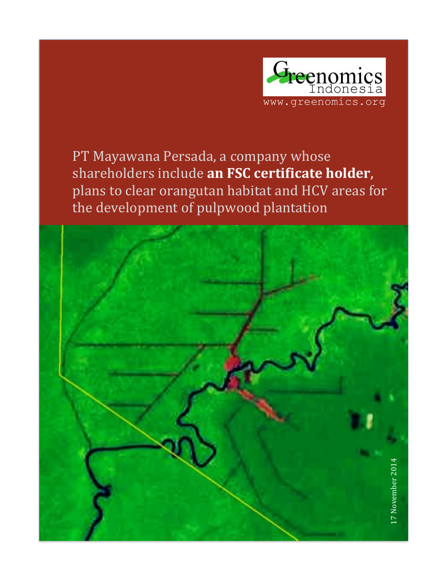

PT Mayawana Persada, a company whose shareholders include an FSC certificate holder, plans to clear orangutan habitat and HCV areas for the development of pulpwood plantation

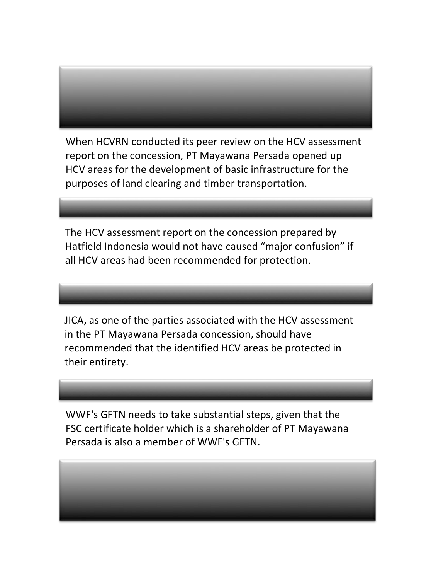When HCVRN conducted its peer review on the HCV assessment report on the concession, PT Mayawana Persada opened up HCV areas for the development of basic infrastructure for the purposes of land clearing and timber transportation.

The HCV assessment report on the concession prepared by Hatfield Indonesia would not have caused "major confusion" if all HCV areas had been recommended for protection.

JICA, as one of the parties associated with the HCV assessment in the PT Mayawana Persada concession, should have recommended that the identified HCV areas be protected in their entirety.

WWF's GFTN needs to take substantial steps, given that the FSC certificate holder which is a shareholder of PT Mayawana Persada is also a member of WWF's GFTN.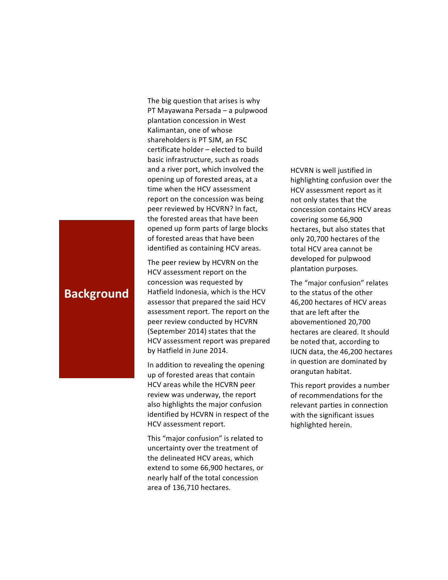The big question that arises is why PT Mayawana Persada – a pulpwood plantation concession in West Kalimantan, one of whose shareholders is PT SJM, an FSC  $c$ ertificate holder – elected to build basic infrastructure, such as roads and a river port, which involved the opening up of forested areas, at a time when the HCV assessment report on the concession was being peer reviewed by HCVRN? In fact, the forested areas that have been opened up form parts of large blocks of forested areas that have been identified as containing HCV areas.

The peer review by HCVRN on the HCV assessment report on the concession was requested by Hatfield Indonesia, which is the HCV assessor that prepared the said HCV assessment report. The report on the peer review conducted by HCVRN (September 2014) states that the HCV assessment report was prepared by Hatfield in June 2014.

In addition to revealing the opening up of forested areas that contain HCV areas while the HCVRN peer review was underway, the report also highlights the major confusion identified by HCVRN in respect of the HCV assessment report.

This "major confusion" is related to uncertainty over the treatment of the delineated HCV areas, which extend to some 66,900 hectares, or nearly half of the total concession area of 136,710 hectares.

HCVRN is well justified in highlighting confusion over the HCV assessment report as it not only states that the concession contains HCV areas covering some 66,900 hectares, but also states that only 20,700 hectares of the total HCV area cannot be developed for pulpwood plantation purposes.

The "major confusion" relates to the status of the other 46,200 hectares of HCV areas that are left after the abovementioned 20,700 hectares are cleared. It should be noted that, according to IUCN data, the 46,200 hectares in question are dominated by orangutan habitat.

This report provides a number of recommendations for the relevant parties in connection with the significant issues highlighted herein.

## **Background**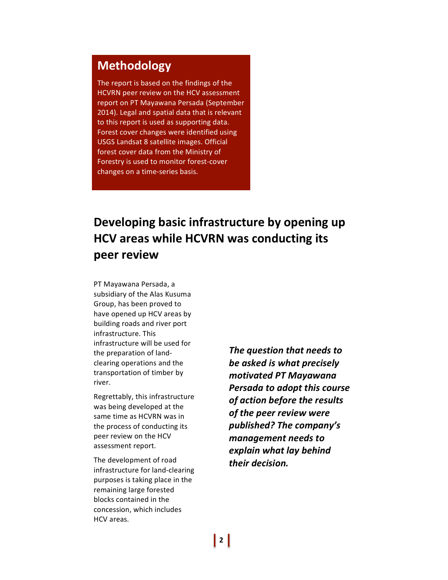# **Methodology**

The report is based on the findings of the HCVRN peer review on the HCV assessment report on PT Mayawana Persada (September 2014). Legal and spatial data that is relevant to this report is used as supporting data. Forest cover changes were identified using USGS Landsat 8 satellite images. Official forest cover data from the Ministry of Forestry is used to monitor forest-cover changes on a time-series basis.

# **Developing basic infrastructure by opening up HCV areas while HCVRN was conducting its peer!review**

PT Mayawana Persada, a subsidiary of the Alas Kusuma Group, has been proved to have opened up HCV areas by building roads and river port infrastructure. This infrastructure will be used for the preparation of landclearing operations and the transportation of timber by river.

Regrettably, this infrastructure was being developed at the same time as HCVRN was in the process of conducting its peer review on the HCV assessment report.

The development of road infrastructure for land-clearing purposes is taking place in the remaining large forested blocks contained in the concession, which includes HCV areas.

**The question that needs to be asked is what precisely** *motivated\$PT\$Mayawana\$* **Persada to adopt this course** *of action before the results of the peer review were published?\$The\$company's\$ management\$needs\$to\$* **explain what lay behind** *their\$decision.*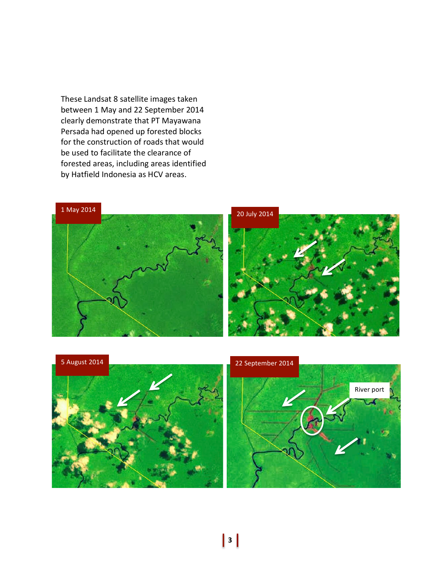These Landsat 8 satellite images taken between 1 May and 22 September 2014 clearly demonstrate that PT Mayawana Persada had opened up forested blocks for the construction of roads that would be used to facilitate the clearance of forested areas, including areas identified by Hatfield Indonesia as HCV areas.



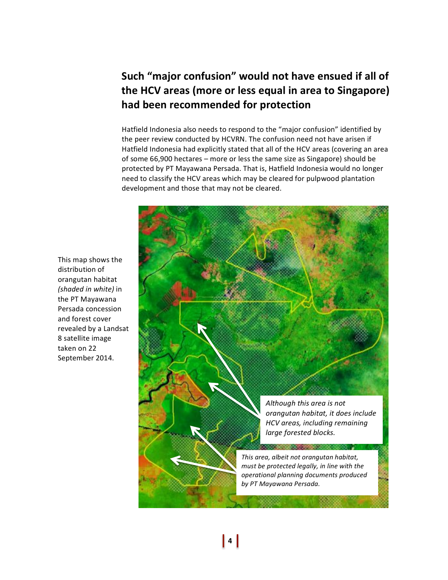# Such "major confusion" would not have ensued if all of the HCV areas (more or less equal in area to Singapore) had been recommended for protection

Hatfield Indonesia also needs to respond to the "major confusion" identified by the peer review conducted by HCVRN. The confusion need not have arisen if Hatfield Indonesia had explicitly stated that all of the HCV areas (covering an area of some  $66,900$  hectares – more or less the same size as Singapore) should be protected by PT Mayawana Persada. That is, Hatfield Indonesia would no longer need to classify the HCV areas which may be cleared for pulpwood plantation development and those that may not be cleared.

This map shows the distribution of orangutan habitat *(shaded in white)* in the PT Mayawana Persada concession and forest cover revealed by a Landsat 8 satellite image taken on 22 September 2014.

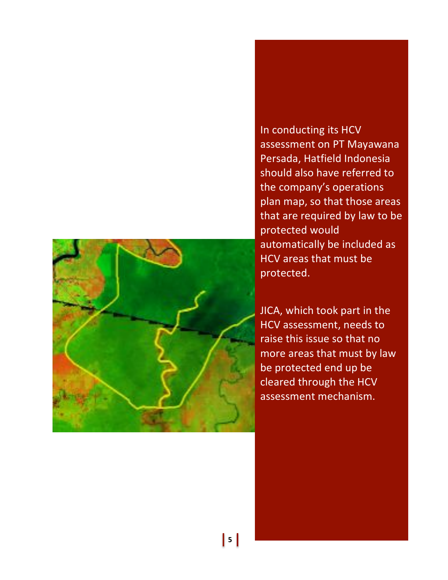

In conducting its HCV assessment on PT Mayawana Persada, Hatfield Indonesia should also have referred to the company's operations plan map, so that those areas that are required by law to be protected would automatically be included as HCV areas that must be protected.

JICA, which took part in the HCV assessment, needs to raise this issue so that no more areas that must by law be protected end up be cleared through the HCV assessment mechanism.